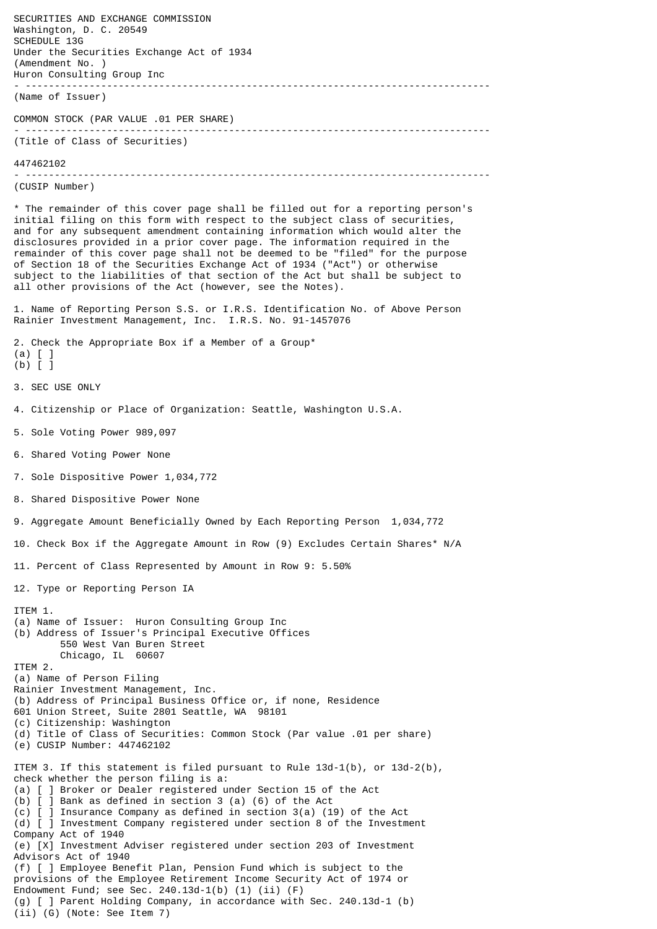SECURITIES AND EXCHANGE COMMISSION Washington, D. C. 20549 SCHEDULE 13G Under the Securities Exchange Act of 1934 (Amendment No. ) Huron Consulting Group Inc - -------------------------------------------------------------------------------- (Name of Issuer) COMMON STOCK (PAR VALUE .01 PER SHARE) - -------------------------------------------------------------------------------- (Title of Class of Securities) 447462102 - -------------------------------------------------------------------------------- (CUSIP Number) \* The remainder of this cover page shall be filled out for a reporting person's initial filing on this form with respect to the subject class of securities, and for any subsequent amendment containing information which would alter the disclosures provided in a prior cover page. The information required in the remainder of this cover page shall not be deemed to be "filed" for the purpose of Section 18 of the Securities Exchange Act of 1934 ("Act") or otherwise subject to the liabilities of that section of the Act but shall be subject to all other provisions of the Act (however, see the Notes). 1. Name of Reporting Person S.S. or I.R.S. Identification No. of Above Person Rainier Investment Management, Inc. I.R.S. No. 91-1457076 2. Check the Appropriate Box if a Member of a Group\* (a) [ ] (b) [ ] 3. SEC USE ONLY 4. Citizenship or Place of Organization: Seattle, Washington U.S.A. 5. Sole Voting Power 989,097 6. Shared Voting Power None 7. Sole Dispositive Power 1,034,772 8. Shared Dispositive Power None 9. Aggregate Amount Beneficially Owned by Each Reporting Person 1,034,772 10. Check Box if the Aggregate Amount in Row (9) Excludes Certain Shares\* N/A 11. Percent of Class Represented by Amount in Row 9: 5.50% 12. Type or Reporting Person IA ITEM 1. (a) Name of Issuer: Huron Consulting Group Inc (b) Address of Issuer's Principal Executive Offices 550 West Van Buren Street Chicago, IL 60607 ITEM 2. (a) Name of Person Filing Rainier Investment Management, Inc. (b) Address of Principal Business Office or, if none, Residence 601 Union Street, Suite 2801 Seattle, WA 98101 (c) Citizenship: Washington (d) Title of Class of Securities: Common Stock (Par value .01 per share) (e) CUSIP Number: 447462102 ITEM 3. If this statement is filed pursuant to Rule  $13d-1(b)$ , or  $13d-2(b)$ , check whether the person filing is a: (a) [ ] Broker or Dealer registered under Section 15 of the Act (b) [ ] Bank as defined in section 3 (a) (6) of the Act (c) [ ] Insurance Company as defined in section 3(a) (19) of the Act (d) [ ] Investment Company registered under section 8 of the Investment Company Act of 1940 (e) [X] Investment Adviser registered under section 203 of Investment Advisors Act of 1940 (f) [ ] Employee Benefit Plan, Pension Fund which is subject to the provisions of the Employee Retirement Income Security Act of 1974 or Endowment Fund; see Sec. 240.13d-1(b) (1) (ii) (F) (g) [ ] Parent Holding Company, in accordance with Sec. 240.13d-1 (b) (ii) (G) (Note: See Item 7)